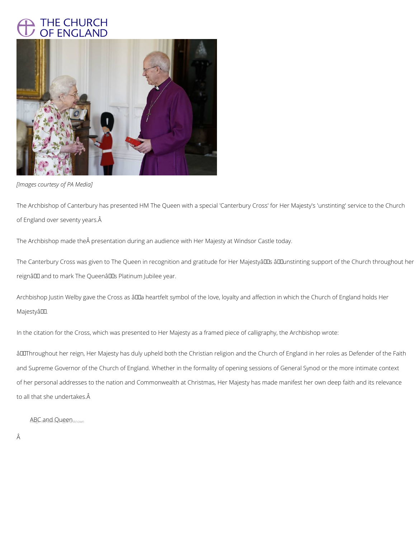## THE CHURCH OF ENGLAND



*[Images courtesy of PA Media]*

The Archbishop of Canterbury has presented HM The Queen with a special 'Canterbury Cross' for Her Majesty's 'unstinting' service to the Church of England over seventy years.

The Archbishop made the presentation during an audience with Her Majesty at Windsor Castle today.

The Canterbury Cross was given to The Queen in recognition and gratitude for Her MajestyâDDs âDDunstinting support of the Church throughout her reignâ D and to mark The Queenâ D B Platinum Jubilee year.

Archbishop Justin Welby gave the Cross as âDDa heartfelt symbol of the love, loyalty and affection in which the Church of England holds Her MajestyâDD.

âDIThroughout her reign, Her Majesty has duly upheld both the Christian religion and the Church of England in her roles as Defender of the Faith and Supreme Governor of the Church of England. Whether in the formality of opening sessions of General Synod or the more intimate context of her personal addresses to the nation and Commonwealth at Christmas, Her Majesty has made manifest her own deep faith and its relevance to all that she undertakes.

## ABC and Queen Inknown

- Â
- 

In the citation for the Cross, which was presented to Her Majesty as a framed piece of calligraphy, the Archbishop wrote: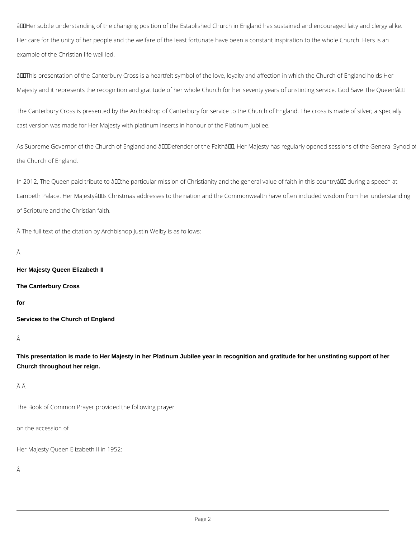âDDHer subtle understanding of the changing position of the Established Church in England has sustained and encouraged laity and clergy alike. Her care for the unity of her people and the welfare of the least fortunate have been a constant inspiration to the whole Church. Hers is an example of the Christian life well led.

âDIThis presentation of the Canterbury Cross is a heartfelt symbol of the love, loyalty and affection in which the Church of England holds Her Majesty and it represents the recognition and gratitude of her whole Church for her seventy years of unstinting service. God Save The Queen!âll

As Supreme Governor of the Church of England and âLILDefender of the FaithâLL, Her Majesty has regularly opened sessions of the General Synod o the Church of England.

In 2012, The Queen paid tribute to âll the particular mission of Christianity and the general value of faith in this countryâ ll during a speech at Lambeth Palace. Her Majestyâllus Christmas addresses to the nation and the Commonwealth have often included wisdom from her understanding of Scripture and the Christian faith.

The Canterbury Cross is presented by the Archbishop of Canterbury for service to the Church of England. The cross is made of silver; a specially cast version was made for Her Majesty with platinum inserts in honour of the Platinum Jubilee.

The full text of the citation by Archbishop Justin Welby is as follows:

Â

**Her Majesty Queen Elizabeth II**

**The Canterbury Cross**

**for**

**Services to the Church of England**

Â

**This presentation is made to Her Majesty in her Platinum Jubilee year in recognition and gratitude for her unstinting support of her Church throughout her reign.**

Â

The Book of Common Prayer provided the following prayer

on the accession of

Her Majesty Queen Elizabeth II in 1952: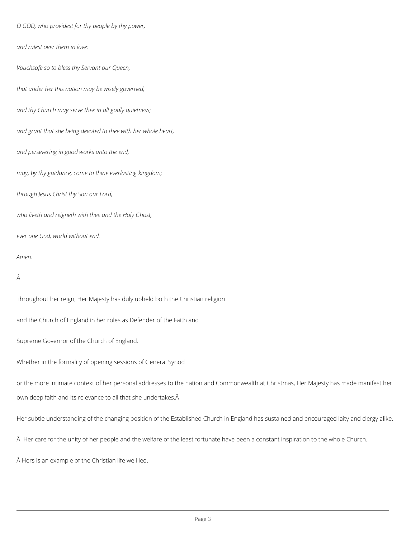*O GOD, who providest for thy people by thy power,*

*and rulest over them in love:*

*Vouchsafe so to bless thy Servant our Queen,*

*that under her this nation may be wisely governed,*

*and thy Church may serve thee in all godly quietness;*

*and grant that she being devoted to thee with her whole heart,*

*and persevering in good works unto the end,*

*may, by thy guidance, come to thine everlasting kingdom;*

*through Jesus Christ thy Son our Lord,*

*who liveth and reigneth with thee and the Holy Ghost,*

*ever one God, world without end.*

*Amen.*

Â

Throughout her reign, Her Majesty has duly upheld both the Christian religion

and the Church of England in her roles as Defender of the Faith and

Supreme Governor of the Church of England.

Whether in the formality of opening sessions of General Synod

or the more intimate context of her personal addresses to the nation and Commonwealth at Christmas, Her Majesty has made manifest her

own deep faith and its relevance to all that she undertakes.

Her subtle understanding of the changing position of the Established Church in England has sustained and encouraged laity and clergy alike.

A Her care for the unity of her people and the welfare of the least fortunate have been a constant inspiration to the whole Church.

A Hers is an example of the Christian life well led.